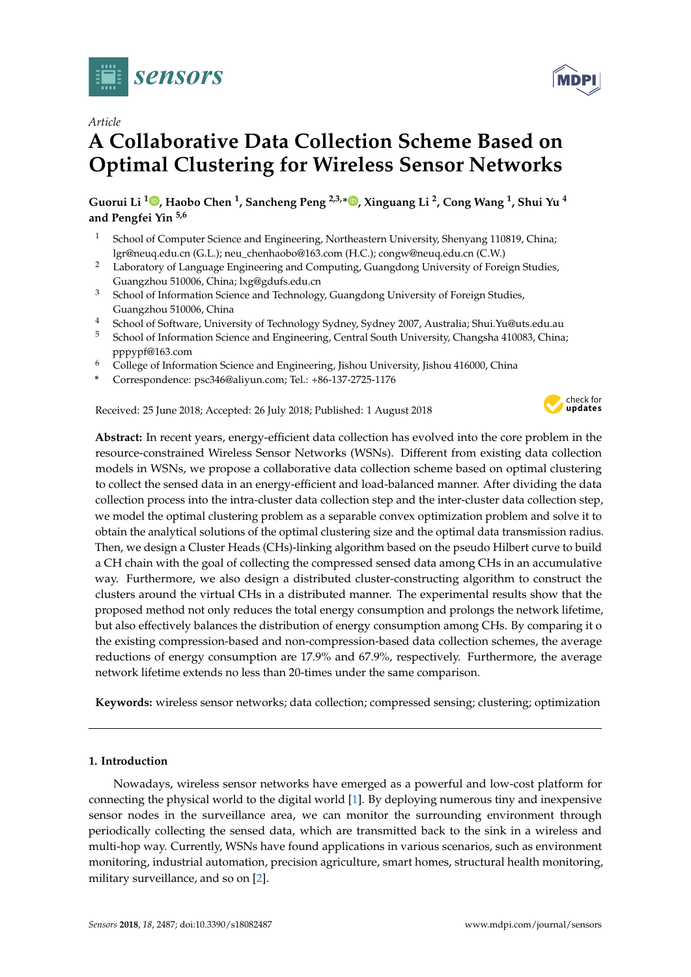



# **A Collaborative Data Collection Scheme Based on Optimal Clustering for Wireless Sensor Networks**

**Guorui Li [1](https://orcid.org/0000-0003-2360-7895) , Haobo Chen <sup>1</sup> , Sancheng Peng 2,3,\* [,](https://orcid.org/0000-0002-0865-3570) Xinguang Li <sup>2</sup> , Cong Wang <sup>1</sup> , Shui Yu <sup>4</sup> and Pengfei Yin 5,6**

- <sup>1</sup> School of Computer Science and Engineering, Northeastern University, Shenyang 110819, China; lgr@neuq.edu.cn (G.L.); neu\_chenhaobo@163.com (H.C.); congw@neuq.edu.cn (C.W.)
- <sup>2</sup> Laboratory of Language Engineering and Computing, Guangdong University of Foreign Studies, Guangzhou 510006, China; lxg@gdufs.edu.cn
- <sup>3</sup> School of Information Science and Technology, Guangdong University of Foreign Studies, Guangzhou 510006, China
- <sup>4</sup> School of Software, University of Technology Sydney, Sydney 2007, Australia; Shui.Yu@uts.edu.au
- <sup>5</sup> School of Information Science and Engineering, Central South University, Changsha 410083, China; pppypf@163.com
- <sup>6</sup> College of Information Science and Engineering, Jishou University, Jishou 416000, China
- **\*** Correspondence: psc346@aliyun.com; Tel.: +86-137-2725-1176

Received: 25 June 2018; Accepted: 26 July 2018; Published: 1 August 2018



**Abstract:** In recent years, energy-efficient data collection has evolved into the core problem in the resource-constrained Wireless Sensor Networks (WSNs). Different from existing data collection models in WSNs, we propose a collaborative data collection scheme based on optimal clustering to collect the sensed data in an energy-efficient and load-balanced manner. After dividing the data collection process into the intra-cluster data collection step and the inter-cluster data collection step, we model the optimal clustering problem as a separable convex optimization problem and solve it to obtain the analytical solutions of the optimal clustering size and the optimal data transmission radius. Then, we design a Cluster Heads (CHs)-linking algorithm based on the pseudo Hilbert curve to build a CH chain with the goal of collecting the compressed sensed data among CHs in an accumulative way. Furthermore, we also design a distributed cluster-constructing algorithm to construct the clusters around the virtual CHs in a distributed manner. The experimental results show that the proposed method not only reduces the total energy consumption and prolongs the network lifetime, but also effectively balances the distribution of energy consumption among CHs. By comparing it o the existing compression-based and non-compression-based data collection schemes, the average reductions of energy consumption are 17.9% and 67.9%, respectively. Furthermore, the average network lifetime extends no less than 20-times under the same comparison.

**Keywords:** wireless sensor networks; data collection; compressed sensing; clustering; optimization

## **1. Introduction**

Nowadays, wireless sensor networks have emerged as a powerful and low-cost platform for connecting the physical world to the digital world [\[1\]](#page-17-0). By deploying numerous tiny and inexpensive sensor nodes in the surveillance area, we can monitor the surrounding environment through periodically collecting the sensed data, which are transmitted back to the sink in a wireless and multi-hop way. Currently, WSNs have found applications in various scenarios, such as environment monitoring, industrial automation, precision agriculture, smart homes, structural health monitoring, military surveillance, and so on [\[2\]](#page-17-1).

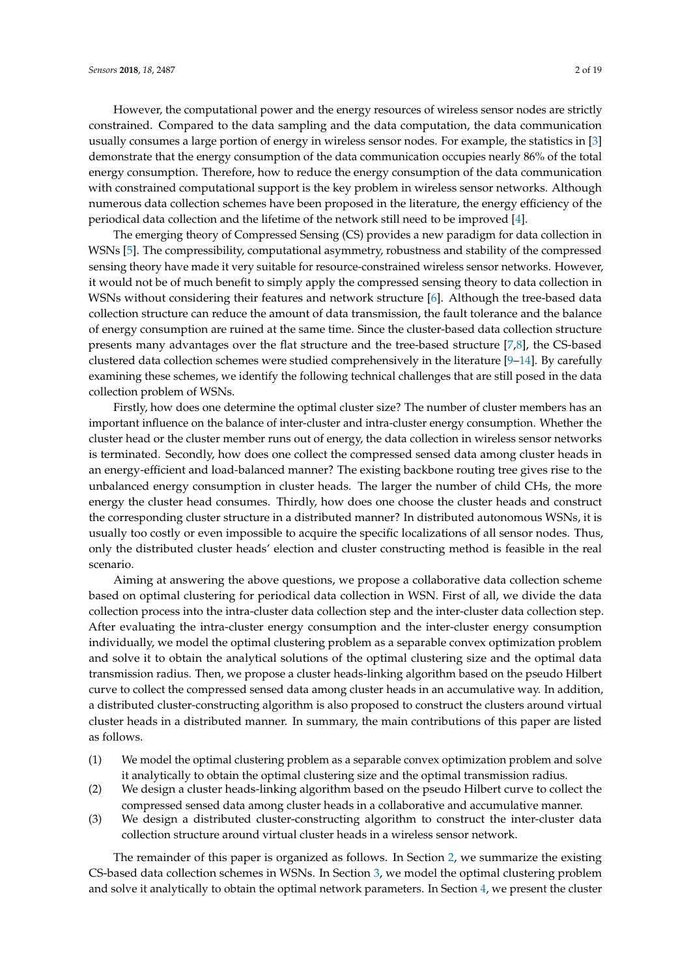However, the computational power and the energy resources of wireless sensor nodes are strictly constrained. Compared to the data sampling and the data computation, the data communication usually consumes a large portion of energy in wireless sensor nodes. For example, the statistics in [\[3\]](#page-17-2) demonstrate that the energy consumption of the data communication occupies nearly 86% of the total energy consumption. Therefore, how to reduce the energy consumption of the data communication with constrained computational support is the key problem in wireless sensor networks. Although numerous data collection schemes have been proposed in the literature, the energy efficiency of the periodical data collection and the lifetime of the network still need to be improved [\[4\]](#page-17-3).

The emerging theory of Compressed Sensing (CS) provides a new paradigm for data collection in WSNs [\[5\]](#page-17-4). The compressibility, computational asymmetry, robustness and stability of the compressed sensing theory have made it very suitable for resource-constrained wireless sensor networks. However, it would not be of much benefit to simply apply the compressed sensing theory to data collection in WSNs without considering their features and network structure [\[6\]](#page-17-5). Although the tree-based data collection structure can reduce the amount of data transmission, the fault tolerance and the balance of energy consumption are ruined at the same time. Since the cluster-based data collection structure presents many advantages over the flat structure and the tree-based structure [\[7](#page-17-6)[,8\]](#page-17-7), the CS-based clustered data collection schemes were studied comprehensively in the literature [\[9](#page-17-8)[–14\]](#page-17-9). By carefully examining these schemes, we identify the following technical challenges that are still posed in the data collection problem of WSNs.

Firstly, how does one determine the optimal cluster size? The number of cluster members has an important influence on the balance of inter-cluster and intra-cluster energy consumption. Whether the cluster head or the cluster member runs out of energy, the data collection in wireless sensor networks is terminated. Secondly, how does one collect the compressed sensed data among cluster heads in an energy-efficient and load-balanced manner? The existing backbone routing tree gives rise to the unbalanced energy consumption in cluster heads. The larger the number of child CHs, the more energy the cluster head consumes. Thirdly, how does one choose the cluster heads and construct the corresponding cluster structure in a distributed manner? In distributed autonomous WSNs, it is usually too costly or even impossible to acquire the specific localizations of all sensor nodes. Thus, only the distributed cluster heads' election and cluster constructing method is feasible in the real scenario.

Aiming at answering the above questions, we propose a collaborative data collection scheme based on optimal clustering for periodical data collection in WSN. First of all, we divide the data collection process into the intra-cluster data collection step and the inter-cluster data collection step. After evaluating the intra-cluster energy consumption and the inter-cluster energy consumption individually, we model the optimal clustering problem as a separable convex optimization problem and solve it to obtain the analytical solutions of the optimal clustering size and the optimal data transmission radius. Then, we propose a cluster heads-linking algorithm based on the pseudo Hilbert curve to collect the compressed sensed data among cluster heads in an accumulative way. In addition, a distributed cluster-constructing algorithm is also proposed to construct the clusters around virtual cluster heads in a distributed manner. In summary, the main contributions of this paper are listed as follows.

- (1) We model the optimal clustering problem as a separable convex optimization problem and solve it analytically to obtain the optimal clustering size and the optimal transmission radius.
- (2) We design a cluster heads-linking algorithm based on the pseudo Hilbert curve to collect the compressed sensed data among cluster heads in a collaborative and accumulative manner.
- (3) We design a distributed cluster-constructing algorithm to construct the inter-cluster data collection structure around virtual cluster heads in a wireless sensor network.

The remainder of this paper is organized as follows. In Section [2,](#page-2-0) we summarize the existing CS-based data collection schemes in WSNs. In Section [3,](#page-3-0) we model the optimal clustering problem and solve it analytically to obtain the optimal network parameters. In Section [4,](#page-9-0) we present the cluster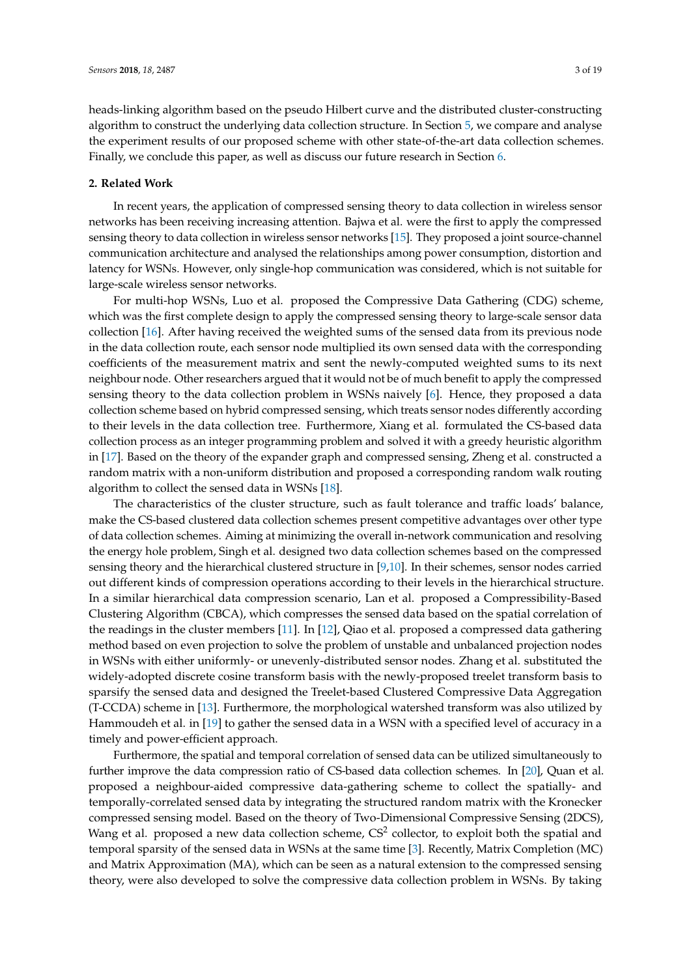heads-linking algorithm based on the pseudo Hilbert curve and the distributed cluster-constructing algorithm to construct the underlying data collection structure. In Section [5,](#page-12-0) we compare and analyse the experiment results of our proposed scheme with other state-of-the-art data collection schemes. Finally, we conclude this paper, as well as discuss our future research in Section [6.](#page-16-0)

## <span id="page-2-0"></span>**2. Related Work**

In recent years, the application of compressed sensing theory to data collection in wireless sensor networks has been receiving increasing attention. Bajwa et al. were the first to apply the compressed sensing theory to data collection in wireless sensor networks [\[15\]](#page-18-0). They proposed a joint source-channel communication architecture and analysed the relationships among power consumption, distortion and latency for WSNs. However, only single-hop communication was considered, which is not suitable for large-scale wireless sensor networks.

For multi-hop WSNs, Luo et al. proposed the Compressive Data Gathering (CDG) scheme, which was the first complete design to apply the compressed sensing theory to large-scale sensor data collection [\[16\]](#page-18-1). After having received the weighted sums of the sensed data from its previous node in the data collection route, each sensor node multiplied its own sensed data with the corresponding coefficients of the measurement matrix and sent the newly-computed weighted sums to its next neighbour node. Other researchers argued that it would not be of much benefit to apply the compressed sensing theory to the data collection problem in WSNs naively [\[6\]](#page-17-5). Hence, they proposed a data collection scheme based on hybrid compressed sensing, which treats sensor nodes differently according to their levels in the data collection tree. Furthermore, Xiang et al. formulated the CS-based data collection process as an integer programming problem and solved it with a greedy heuristic algorithm in [\[17\]](#page-18-2). Based on the theory of the expander graph and compressed sensing, Zheng et al. constructed a random matrix with a non-uniform distribution and proposed a corresponding random walk routing algorithm to collect the sensed data in WSNs [\[18\]](#page-18-3).

The characteristics of the cluster structure, such as fault tolerance and traffic loads' balance, make the CS-based clustered data collection schemes present competitive advantages over other type of data collection schemes. Aiming at minimizing the overall in-network communication and resolving the energy hole problem, Singh et al. designed two data collection schemes based on the compressed sensing theory and the hierarchical clustered structure in [\[9](#page-17-8)[,10\]](#page-17-10). In their schemes, sensor nodes carried out different kinds of compression operations according to their levels in the hierarchical structure. In a similar hierarchical data compression scenario, Lan et al. proposed a Compressibility-Based Clustering Algorithm (CBCA), which compresses the sensed data based on the spatial correlation of the readings in the cluster members [\[11\]](#page-17-11). In [\[12\]](#page-17-12), Qiao et al. proposed a compressed data gathering method based on even projection to solve the problem of unstable and unbalanced projection nodes in WSNs with either uniformly- or unevenly-distributed sensor nodes. Zhang et al. substituted the widely-adopted discrete cosine transform basis with the newly-proposed treelet transform basis to sparsify the sensed data and designed the Treelet-based Clustered Compressive Data Aggregation (T-CCDA) scheme in [\[13\]](#page-17-13). Furthermore, the morphological watershed transform was also utilized by Hammoudeh et al. in [\[19\]](#page-18-4) to gather the sensed data in a WSN with a specified level of accuracy in a timely and power-efficient approach.

Furthermore, the spatial and temporal correlation of sensed data can be utilized simultaneously to further improve the data compression ratio of CS-based data collection schemes. In [\[20\]](#page-18-5), Quan et al. proposed a neighbour-aided compressive data-gathering scheme to collect the spatially- and temporally-correlated sensed data by integrating the structured random matrix with the Kronecker compressed sensing model. Based on the theory of Two-Dimensional Compressive Sensing (2DCS), Wang et al. proposed a new data collection scheme,  $CS^2$  collector, to exploit both the spatial and temporal sparsity of the sensed data in WSNs at the same time [\[3\]](#page-17-2). Recently, Matrix Completion (MC) and Matrix Approximation (MA), which can be seen as a natural extension to the compressed sensing theory, were also developed to solve the compressive data collection problem in WSNs. By taking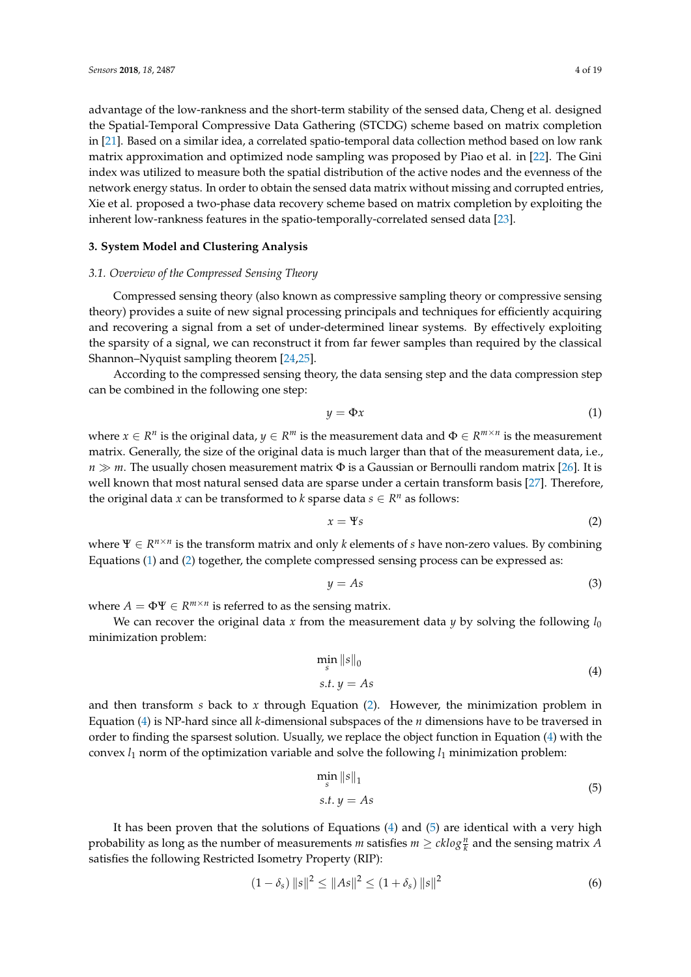advantage of the low-rankness and the short-term stability of the sensed data, Cheng et al. designed the Spatial-Temporal Compressive Data Gathering (STCDG) scheme based on matrix completion in [\[21\]](#page-18-6). Based on a similar idea, a correlated spatio-temporal data collection method based on low rank matrix approximation and optimized node sampling was proposed by Piao et al. in [\[22\]](#page-18-7). The Gini index was utilized to measure both the spatial distribution of the active nodes and the evenness of the network energy status. In order to obtain the sensed data matrix without missing and corrupted entries, Xie et al. proposed a two-phase data recovery scheme based on matrix completion by exploiting the inherent low-rankness features in the spatio-temporally-correlated sensed data [\[23\]](#page-18-8).

## <span id="page-3-0"></span>**3. System Model and Clustering Analysis**

#### *3.1. Overview of the Compressed Sensing Theory*

Compressed sensing theory (also known as compressive sampling theory or compressive sensing theory) provides a suite of new signal processing principals and techniques for efficiently acquiring and recovering a signal from a set of under-determined linear systems. By effectively exploiting the sparsity of a signal, we can reconstruct it from far fewer samples than required by the classical Shannon–Nyquist sampling theorem [\[24,](#page-18-9)[25\]](#page-18-10).

According to the compressed sensing theory, the data sensing step and the data compression step can be combined in the following one step:

<span id="page-3-1"></span>
$$
y = \Phi x \tag{1}
$$

where  $x \in R^n$  is the original data,  $y \in R^m$  is the measurement data and  $\Phi \in R^{m \times n}$  is the measurement matrix. Generally, the size of the original data is much larger than that of the measurement data, i.e., *n*  $\gg$  *m*. The usually chosen measurement matrix Φ is a Gaussian or Bernoulli random matrix [\[26\]](#page-18-11). It is well known that most natural sensed data are sparse under a certain transform basis [\[27\]](#page-18-12). Therefore, the original data *x* can be transformed to *k* sparse data  $s \in R^n$  as follows:

<span id="page-3-2"></span>
$$
x = \Psi s \tag{2}
$$

where  $\Psi \in R^{n \times n}$  is the transform matrix and only *k* elements of *s* have non-zero values. By combining Equations [\(1\)](#page-3-1) and [\(2\)](#page-3-2) together, the complete compressed sensing process can be expressed as:

$$
y = As \tag{3}
$$

where  $A = \Phi \Psi \in R^{m \times n}$  is referred to as the sensing matrix.

We can recover the original data  $x$  from the measurement data  $y$  by solving the following  $l_0$ minimization problem:

$$
\min_{s} \|s\|_{0}
$$
  
s.t.  $y = As$  (4)

<span id="page-3-3"></span>and then transform *s* back to *x* through Equation [\(2\)](#page-3-2). However, the minimization problem in Equation [\(4\)](#page-3-3) is NP-hard since all *k*-dimensional subspaces of the *n* dimensions have to be traversed in order to finding the sparsest solution. Usually, we replace the object function in Equation [\(4\)](#page-3-3) with the convex  $l_1$  norm of the optimization variable and solve the following  $l_1$  minimization problem:

$$
\min_{s} \|s\|_{1}
$$
  
s.t.  $y = As$  (5)

<span id="page-3-4"></span>It has been proven that the solutions of Equations  $(4)$  and  $(5)$  are identical with a very high probability as long as the number of measurements  $m$  satisfies  $m \geq c k log \frac{n}{k}$  and the sensing matrix  $A$ satisfies the following Restricted Isometry Property (RIP):

$$
(1 - \delta_s) \|s\|^2 \le \|As\|^2 \le (1 + \delta_s) \|s\|^2 \tag{6}
$$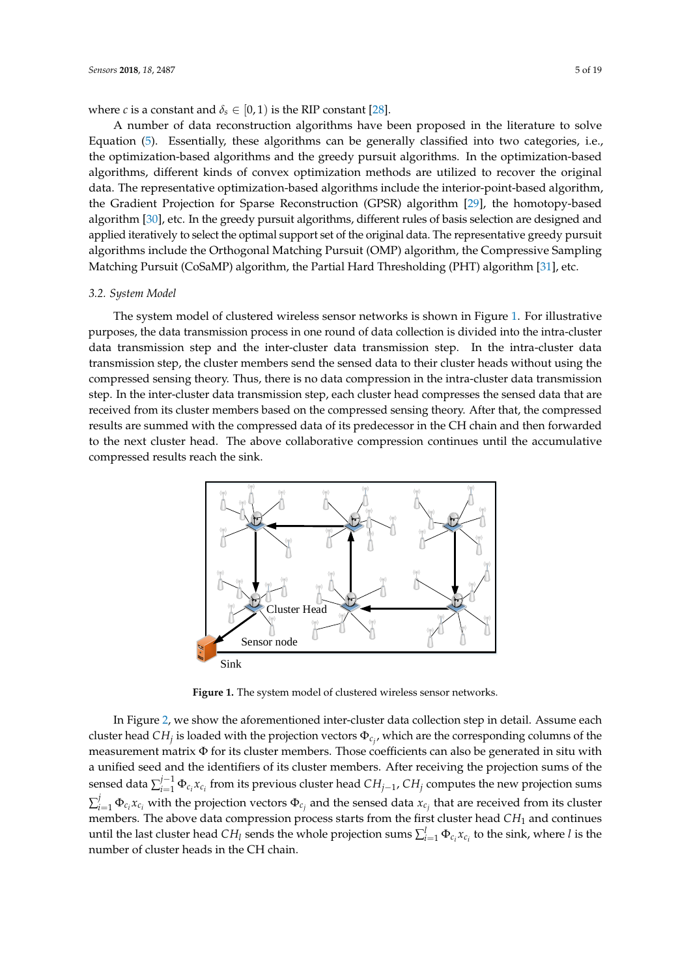where *c* is a constant and  $\delta_s \in [0, 1)$  is the RIP constant [\[28\]](#page-18-13).

A number of data reconstruction algorithms have been proposed in the literature to solve Equation [\(5\)](#page-3-4). Essentially, these algorithms can be generally classified into two categories, i.e., the optimization-based algorithms and the greedy pursuit algorithms. In the optimization-based algorithms, different kinds of convex optimization methods are utilized to recover the original data. The representative optimization-based algorithms include the interior-point-based algorithm, the Gradient Projection for Sparse Reconstruction (GPSR) algorithm [\[29\]](#page-18-14), the homotopy-based algorithm [\[30\]](#page-18-15), etc. In the greedy pursuit algorithms, different rules of basis selection are designed and applied iteratively to select the optimal support set of the original data. The representative greedy pursuit algorithms include the Orthogonal Matching Pursuit (OMP) algorithm, the Compressive Sampling Matching Pursuit (CoSaMP) algorithm, the Partial Hard Thresholding (PHT) algorithm [\[31\]](#page-18-16), etc.

#### *3.2. System Model*

The system model of clustered wireless sensor networks is shown in Figure [1.](#page-4-0) For illustrative purposes, the data transmission process in one round of data collection is divided into the intra-cluster data transmission step and the inter-cluster data transmission step. In the intra-cluster data transmission step, the cluster members send the sensed data to their cluster heads without using the compressed sensing theory. Thus, there is no data compression in the intra-cluster data transmission step. In the inter-cluster data transmission step, each cluster head compresses the sensed data that are received from its cluster members based on the compressed sensing theory. After that, the compressed results are summed with the compressed data of its predecessor in the CH chain and then forwarded to the next cluster head. The above collaborative compression continues until the accumulative compressed results reach the sink.

<span id="page-4-0"></span>

**Figure 1.** The system model of clustered wireless sensor networks.

In Figure [2,](#page-5-0) we show the aforementioned inter-cluster data collection step in detail. Assume each cluster head  $CH_j$  is loaded with the projection vectors  $\Phi_{c_j}$ , which are the corresponding columns of the measurement matrix  $\Phi$  for its cluster members. Those coefficients can also be generated in situ with a unified seed and the identifiers of its cluster members. After receiving the projection sums of the sensed data  $\sum_{i=1}^{j-1} \Phi_{c_i} x_{c_i}$  from its previous cluster head  $CH_{j-1}$ ,  $CH_j$  computes the new projection sums  $\sum_{i=1}^j \Phi_{c_i} x_{c_i}$  with the projection vectors  $\Phi_{c_j}$  and the sensed data  $x_{c_j}$  that are received from its cluster members. The above data compression process starts from the first cluster head *CH*<sub>1</sub> and continues until the last cluster head  $CH_l$  sends the whole projection sums  $\sum_{i=1}^l \Phi_{c_i} x_{c_i}$  to the sink, where *l* is the number of cluster heads in the CH chain.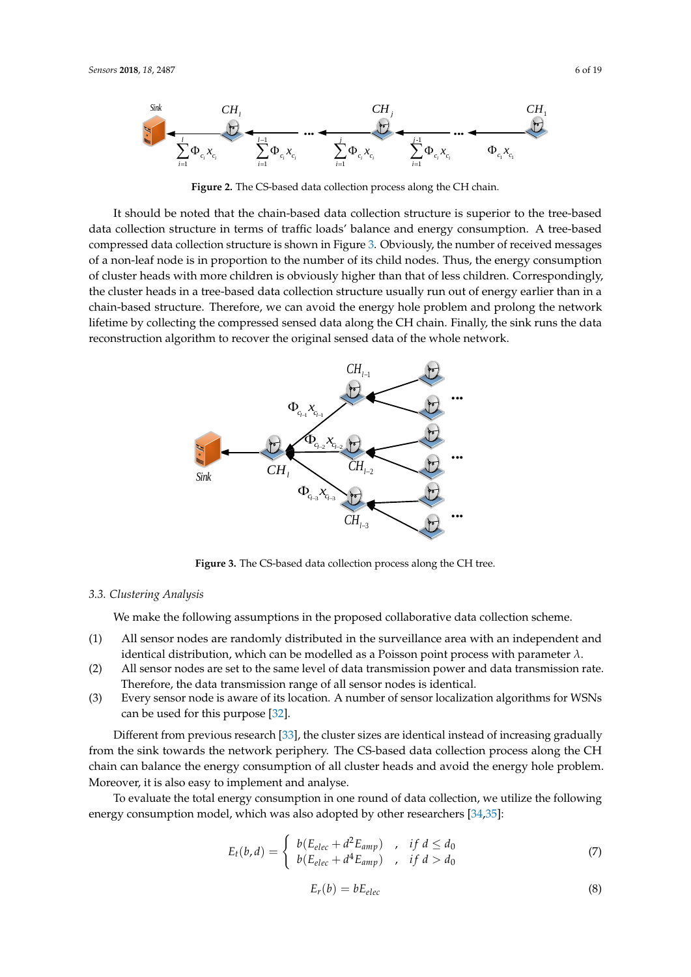<span id="page-5-0"></span>

**Figure 2.** The CS-based data collection process along the CH chain.

It should be noted that the chain-based data collection structure is superior to the tree-based data collection structure in terms of traffic loads' balance and energy consumption. A tree-based compressed data collection structure is shown in Figure [3.](#page-5-1) Obviously, the number of received messages of a non-leaf node is in proportion to the number of its child nodes. Thus, the energy consumption of cluster heads with more children is obviously higher than that of less children. Correspondingly, the cluster heads in a tree-based data collection structure usually run out of energy earlier than in a chain-based structure. Therefore, we can avoid the energy hole problem and prolong the network lifetime by collecting the compressed sensed data along the CH chain. Finally, the sink runs the data reconstruction algorithm to recover the original sensed data of the whole network.

<span id="page-5-1"></span>

**Figure 3.** The CS-based data collection process along the CH tree.

#### *3.3. Clustering Analysis*

We make the following assumptions in the proposed collaborative data collection scheme.

- (1) All sensor nodes are randomly distributed in the surveillance area with an independent and identical distribution, which can be modelled as a Poisson point process with parameter *λ*.
- (2) All sensor nodes are set to the same level of data transmission power and data transmission rate. Therefore, the data transmission range of all sensor nodes is identical.
- (3) Every sensor node is aware of its location. A number of sensor localization algorithms for WSNs can be used for this purpose [\[32\]](#page-18-17).

Different from previous research [\[33\]](#page-18-18), the cluster sizes are identical instead of increasing gradually from the sink towards the network periphery. The CS-based data collection process along the CH chain can balance the energy consumption of all cluster heads and avoid the energy hole problem. Moreover, it is also easy to implement and analyse.

To evaluate the total energy consumption in one round of data collection, we utilize the following energy consumption model, which was also adopted by other researchers [\[34](#page-18-19)[,35\]](#page-18-20):

<span id="page-5-2"></span>
$$
E_t(b,d) = \begin{cases} b(E_{elec} + d^2 E_{amp}) & , & if d \leq d_0 \\ b(E_{elec} + d^4 E_{amp}) & , & if d > d_0 \end{cases}
$$
(7)

<span id="page-5-3"></span>
$$
E_r(b) = bE_{elec} \tag{8}
$$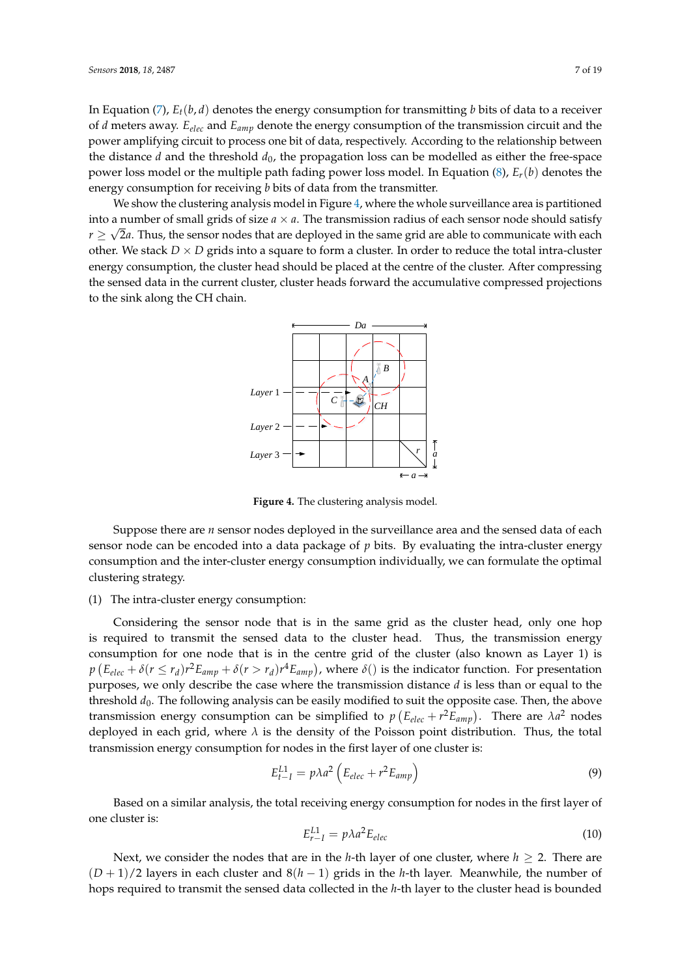In Equation [\(7\)](#page-5-2), *Et*(*b*, *d*) denotes the energy consumption for transmitting *b* bits of data to a receiver of *d* meters away. *Eelec* and *Eamp* denote the energy consumption of the transmission circuit and the power amplifying circuit to process one bit of data, respectively. According to the relationship between the distance  $d$  and the threshold  $d_0$ , the propagation loss can be modelled as either the free-space power loss model or the multiple path fading power loss model. In Equation [\(8\)](#page-5-3), *Er*(*b*) denotes the energy consumption for receiving *b* bits of data from the transmitter.

<span id="page-6-0"></span>We show the clustering analysis model in Figure [4,](#page-6-0) where the whole surveillance area is partitioned into a number of small grids of size  $a \times a$ . The transmission radius of each sensor node should satisfy  $r \geq \sqrt{2a}.$  Thus, the sensor nodes that are deployed in the same grid are able to communicate with each other. We stack  $D \times D$  grids into a square to form a cluster. In order to reduce the total intra-cluster energy consumption, the cluster head should be placed at the centre of the cluster. After compressing the sensed data in the current cluster, cluster heads forward the accumulative compressed projections to the sink along the CH chain.



**Figure 4.** The clustering analysis model.

Suppose there are *n* sensor nodes deployed in the surveillance area and the sensed data of each sensor node can be encoded into a data package of *p* bits. By evaluating the intra-cluster energy consumption and the inter-cluster energy consumption individually, we can formulate the optimal clustering strategy.

#### (1) The intra-cluster energy consumption:

Considering the sensor node that is in the same grid as the cluster head, only one hop is required to transmit the sensed data to the cluster head. Thus, the transmission energy consumption for one node that is in the centre grid of the cluster (also known as Layer 1) is  $p (E_{elec} + \delta (r \le r_d) r^2 E_{amp} + \delta (r > r_d) r^4 E_{amp})$ , where  $\delta()$  is the indicator function. For presentation purposes, we only describe the case where the transmission distance *d* is less than or equal to the threshold  $d_0$ . The following analysis can be easily modified to suit the opposite case. Then, the above transmission energy consumption can be simplified to  $p(E_{elec} + r^2 E_{amp})$ . There are  $\lambda a^2$  nodes deployed in each grid, where  $\lambda$  is the density of the Poisson point distribution. Thus, the total transmission energy consumption for nodes in the first layer of one cluster is:

$$
E_{t-I}^{L1} = p\lambda a^2 \left( E_{elec} + r^2 E_{amp} \right)
$$
 (9)

Based on a similar analysis, the total receiving energy consumption for nodes in the first layer of one cluster is:

$$
E_{r-1}^{L1} = p\lambda a^2 E_{elec} \tag{10}
$$

Next, we consider the nodes that are in the *h*-th layer of one cluster, where *h* ≥ 2. There are (*D* + 1)/2 layers in each cluster and 8(*h* − 1) grids in the *h*-th layer. Meanwhile, the number of hops required to transmit the sensed data collected in the *h*-th layer to the cluster head is bounded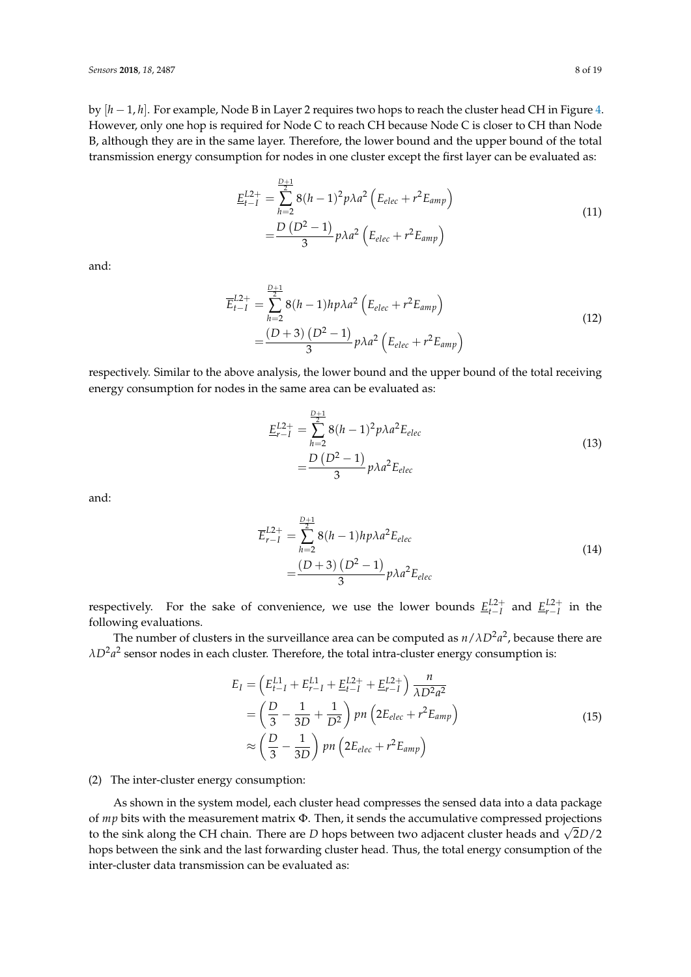by [*h* − 1, *h*]. For example, Node B in Layer 2 requires two hops to reach the cluster head CH in Figure [4.](#page-6-0) However, only one hop is required for Node C to reach CH because Node C is closer to CH than Node B, although they are in the same layer. Therefore, the lower bound and the upper bound of the total transmission energy consumption for nodes in one cluster except the first layer can be evaluated as:

$$
\underline{E}_{t-1}^{L2+} = \sum_{h=2}^{\frac{D+1}{2}} 8(h-1)^2 p \lambda a^2 \left( E_{elec} + r^2 E_{amp} \right)
$$
\n
$$
= \frac{D (D^2 - 1)}{3} p \lambda a^2 \left( E_{elec} + r^2 E_{amp} \right)
$$
\n(11)

and:

$$
\overline{E}_{t-1}^{L2+} = \sum_{h=2}^{\frac{D+1}{2}} 8(h-1)h p \lambda a^2 \left( E_{elec} + r^2 E_{amp} \right)
$$
\n
$$
= \frac{(D+3)(D^2-1)}{3} p \lambda a^2 \left( E_{elec} + r^2 E_{amp} \right)
$$
\n(12)

respectively. Similar to the above analysis, the lower bound and the upper bound of the total receiving energy consumption for nodes in the same area can be evaluated as:

$$
\underline{E}_{r-1}^{L2+} = \sum_{h=2}^{\frac{D+1}{2}} 8(h-1)^2 p \lambda a^2 E_{elec}
$$
\n
$$
= \frac{D (D^2 - 1)}{3} p \lambda a^2 E_{elec}
$$
\n(13)

and:

$$
\overline{E}_{r-1}^{L2+} = \sum_{h=2}^{\frac{D+1}{2}} 8(h-1) h p \lambda a^2 E_{elec}
$$
\n
$$
= \frac{(D+3) (D^2 - 1)}{3} p \lambda a^2 E_{elec}
$$
\n(14)

respectively. For the sake of convenience, we use the lower bounds  $E_{t-I}^{L2+}$  and  $E_{r-I}^{L2+}$  in the following evaluations.

The number of clusters in the surveillance area can be computed as  $n/\lambda D^2a^2$ , because there are  $\lambda D^2a^2$  sensor nodes in each cluster. Therefore, the total intra-cluster energy consumption is:

$$
E_{I} = \left(E_{t-I}^{L1} + E_{r-I}^{L1} + E_{t-I}^{L2+} + E_{r-I}^{L2+}\right) \frac{n}{\lambda D^{2} a^{2}}
$$
  
=  $\left(\frac{D}{3} - \frac{1}{3D} + \frac{1}{D^{2}}\right) pn\left(2E_{elec} + r^{2} E_{amp}\right)$   
 $\approx \left(\frac{D}{3} - \frac{1}{3D}\right) pn\left(2E_{elec} + r^{2} E_{amp}\right)$  (15)

## <span id="page-7-0"></span>(2) The inter-cluster energy consumption:

As shown in the system model, each cluster head compresses the sensed data into a data package of *mp* bits with the measurement matrix Φ. Then, it sends the accumulative compressed projections to the sink along the CH chain. There are *<sup>D</sup>* hops between two adjacent cluster heads and <sup>√</sup> 2*D*/2 hops between the sink and the last forwarding cluster head. Thus, the total energy consumption of the inter-cluster data transmission can be evaluated as: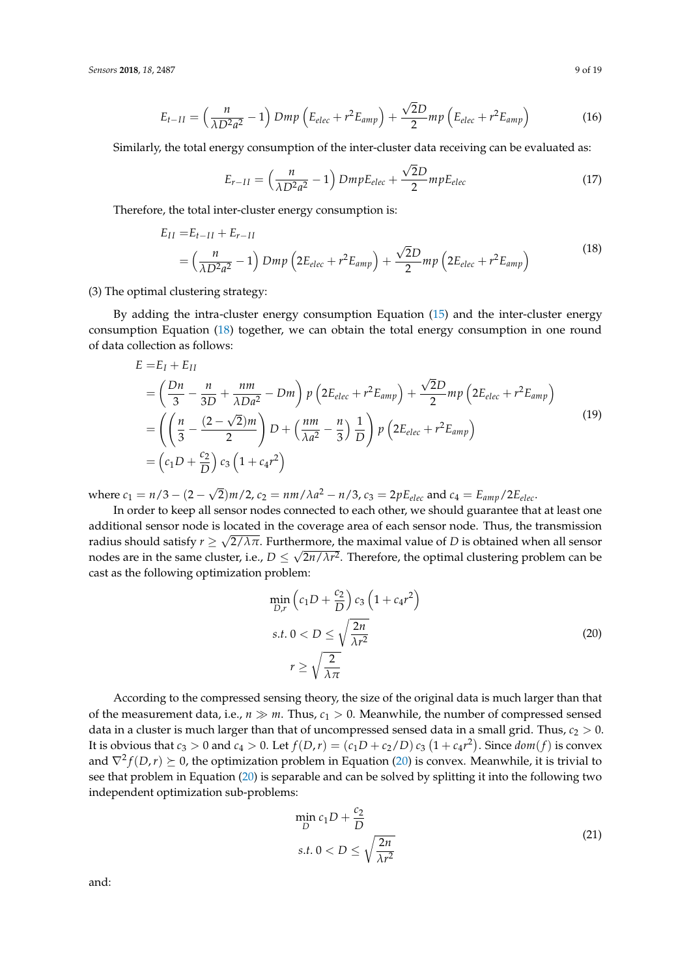$$
E_{t-II} = \left(\frac{n}{\lambda D^2 a^2} - 1\right) Dmp \left(E_{elec} + r^2 E_{amp}\right) + \frac{\sqrt{2}D}{2}mp \left(E_{elec} + r^2 E_{amp}\right)
$$
(16)

Similarly, the total energy consumption of the inter-cluster data receiving can be evaluated as:

$$
E_{r-II} = \left(\frac{n}{\lambda D^2 a^2} - 1\right) DmpE_{elec} + \frac{\sqrt{2}D}{2} mpE_{elec}
$$
 (17)

<span id="page-8-0"></span>Therefore, the total inter-cluster energy consumption is:

$$
E_{II} = E_{t-II} + E_{r-II}
$$
  
=  $\left(\frac{n}{\lambda D^2 a^2} - 1\right) Dmp \left(2E_{elec} + r^2 E_{amp}\right) + \frac{\sqrt{2}D}{2}mp \left(2E_{elec} + r^2 E_{amp}\right)$  (18)

(3) The optimal clustering strategy:

By adding the intra-cluster energy consumption Equation [\(15\)](#page-7-0) and the inter-cluster energy consumption Equation [\(18\)](#page-8-0) together, we can obtain the total energy consumption in one round of data collection as follows:

$$
E = E_I + E_{II}
$$
  
=  $\left(\frac{Dn}{3} - \frac{n}{3D} + \frac{nm}{\lambda Da^2} - Dm\right) p \left(2E_{elec} + r^2 E_{amp}\right) + \frac{\sqrt{2}D}{2} mp \left(2E_{elec} + r^2 E_{amp}\right)$   
=  $\left(\left(\frac{n}{3} - \frac{(2-\sqrt{2})m}{2}\right) D + \left(\frac{nm}{\lambda a^2} - \frac{n}{3}\right) \frac{1}{D}\right) p \left(2E_{elec} + r^2 E_{amp}\right)$   
=  $\left(c_1 D + \frac{c_2}{D}\right) c_3 \left(1 + c_4 r^2\right)$  (19)

where  $c_1 = n/3 - (2 -$ √  $\overline{2}$ )*m*/2, *c*<sub>2</sub> = *nm*/ $\lambda a^2 - n/3$ , *c*<sub>3</sub> = 2*pE*<sub>*elec</sub>* and *c*<sub>4</sub> = *E*<sub>*amp*</sub>/2*E*<sub>*elec*</sub>.</sub>

In order to keep all sensor nodes connected to each other, we should guarantee that at least one additional sensor node is located in the coverage area of each sensor node. Thus, the transmission radius should satisfy  $r \ge \sqrt{2/\lambda \pi}$ . Furthermore, the maximal value of *D* is obtained when all sensor nodes are in the same cluster, i.e.,  $D \leq \sqrt{2n/\lambda r^2}.$  Therefore, the optimal clustering problem can be cast as the following optimization problem:

$$
\min_{D,r} \left( c_1 D + \frac{c_2}{D} \right) c_3 \left( 1 + c_4 r^2 \right)
$$
\n
$$
s.t. \ 0 < D \le \sqrt{\frac{2n}{\lambda r^2}}
$$
\n
$$
r \ge \sqrt{\frac{2}{\lambda \pi}}
$$
\n
$$
(20)
$$

<span id="page-8-1"></span>According to the compressed sensing theory, the size of the original data is much larger than that of the measurement data, i.e.,  $n \gg m$ . Thus,  $c_1 > 0$ . Meanwhile, the number of compressed sensed data in a cluster is much larger than that of uncompressed sensed data in a small grid. Thus,  $c_2 > 0$ . It is obvious that  $c_3 > 0$  and  $c_4 > 0$ . Let  $f(D,r) = (c_1D + c_2/D) c_3 (1 + c_4r^2)$ . Since  $dom(f)$  is convex and  $\nabla^2 f(D,r) \succeq 0$ , the optimization problem in Equation [\(20\)](#page-8-1) is convex. Meanwhile, it is trivial to see that problem in Equation [\(20\)](#page-8-1) is separable and can be solved by splitting it into the following two independent optimization sub-problems:

$$
\min_{D} c_1 D + \frac{c_2}{D}
$$
  
s.t.  $0 < D \le \sqrt{\frac{2n}{\lambda r^2}}$  (21)

<span id="page-8-2"></span>and: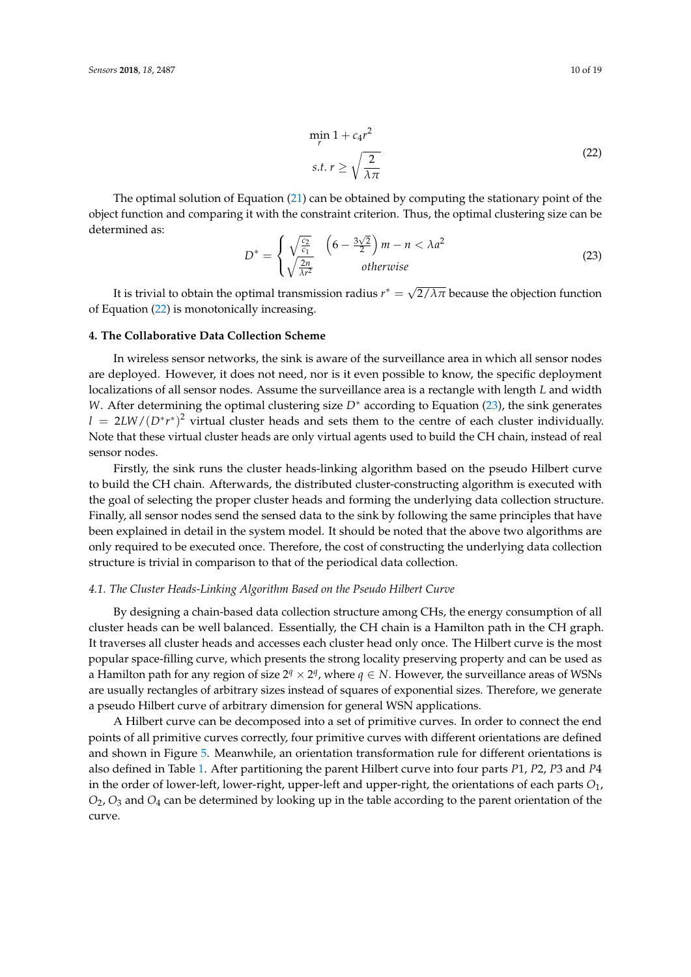$$
\min_{r} 1 + c_4 r^2
$$
  
s.t.  $r \ge \sqrt{\frac{2}{\lambda \pi}}$  (22)

<span id="page-9-1"></span>The optimal solution of Equation [\(21\)](#page-8-2) can be obtained by computing the stationary point of the object function and comparing it with the constraint criterion. Thus, the optimal clustering size can be determined as: √

<span id="page-9-2"></span>
$$
D^* = \begin{cases} \sqrt{\frac{c_2}{c_1}} & \left(6 - \frac{3\sqrt{2}}{2}\right)m - n < \lambda a^2\\ \sqrt{\frac{2n}{\lambda r^2}} & otherwise \end{cases}
$$
 (23)

It is trivial to obtain the optimal transmission radius  $r^*=\sqrt{2}$  $2/\lambda\pi$  because the objection function of Equation [\(22\)](#page-9-1) is monotonically increasing.

## <span id="page-9-0"></span>**4. The Collaborative Data Collection Scheme**

In wireless sensor networks, the sink is aware of the surveillance area in which all sensor nodes are deployed. However, it does not need, nor is it even possible to know, the specific deployment localizations of all sensor nodes. Assume the surveillance area is a rectangle with length *L* and width *W*. After determining the optimal clustering size *D*<sup>∗</sup> according to Equation [\(23\)](#page-9-2), the sink generates *l* = 2*LW*/(*D*<sup>∗</sup>*r*<sup>∗</sup>)<sup>2</sup> virtual cluster heads and sets them to the centre of each cluster individually. Note that these virtual cluster heads are only virtual agents used to build the CH chain, instead of real sensor nodes.

Firstly, the sink runs the cluster heads-linking algorithm based on the pseudo Hilbert curve to build the CH chain. Afterwards, the distributed cluster-constructing algorithm is executed with the goal of selecting the proper cluster heads and forming the underlying data collection structure. Finally, all sensor nodes send the sensed data to the sink by following the same principles that have been explained in detail in the system model. It should be noted that the above two algorithms are only required to be executed once. Therefore, the cost of constructing the underlying data collection structure is trivial in comparison to that of the periodical data collection.

## *4.1. The Cluster Heads-Linking Algorithm Based on the Pseudo Hilbert Curve*

By designing a chain-based data collection structure among CHs, the energy consumption of all cluster heads can be well balanced. Essentially, the CH chain is a Hamilton path in the CH graph. It traverses all cluster heads and accesses each cluster head only once. The Hilbert curve is the most popular space-filling curve, which presents the strong locality preserving property and can be used as a Hamilton path for any region of size  $2^q \times 2^q$ , where  $q \in N$ . However, the surveillance areas of WSNs are usually rectangles of arbitrary sizes instead of squares of exponential sizes. Therefore, we generate a pseudo Hilbert curve of arbitrary dimension for general WSN applications.

A Hilbert curve can be decomposed into a set of primitive curves. In order to connect the end points of all primitive curves correctly, four primitive curves with different orientations are defined and shown in Figure [5.](#page-10-0) Meanwhile, an orientation transformation rule for different orientations is also defined in Table [1.](#page-10-1) After partitioning the parent Hilbert curve into four parts *P*1, *P*2, *P*3 and *P*4 in the order of lower-left, lower-right, upper-left and upper-right, the orientations of each parts *O*1, *O*2, *O*<sup>3</sup> and *O*<sup>4</sup> can be determined by looking up in the table according to the parent orientation of the curve.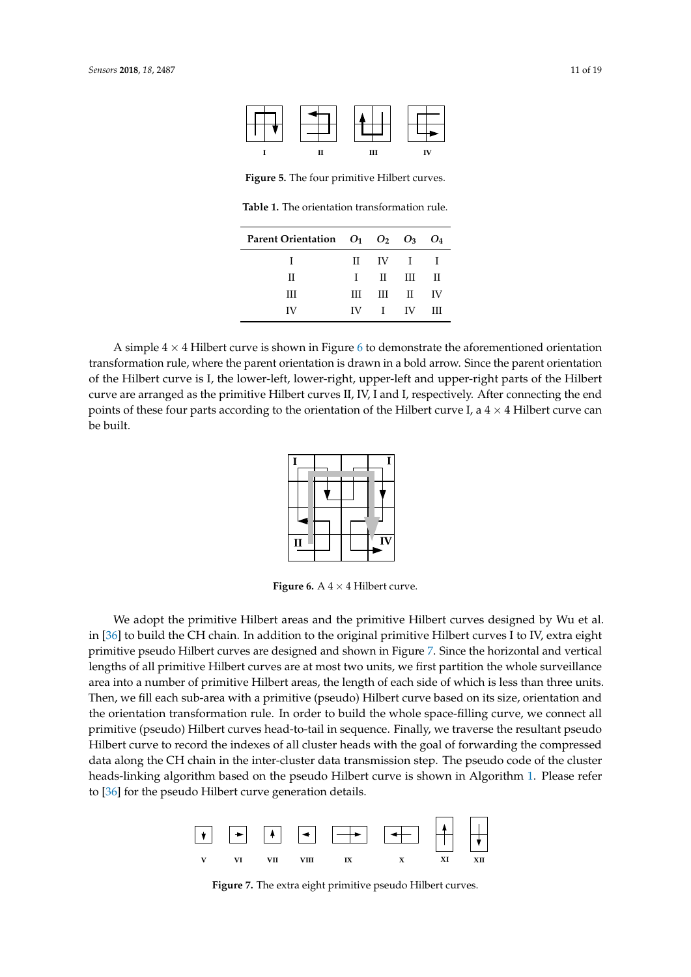<span id="page-10-0"></span>

**Figure 5.** The four primitive Hilbert curves.

**Table 1.** The orientation transformation rule.

| Parent Orientation $O_1$ $O_2$ $O_3$ $O_4$ |              |                                                                 |            |      |
|--------------------------------------------|--------------|-----------------------------------------------------------------|------------|------|
| Ι                                          |              | $\mathbf{I} \quad \mathbf{I} \quad \mathbf{I} \quad \mathbf{I}$ |            |      |
| Π                                          | $\mathbf{L}$ | $\mathbb{I}$ III                                                |            | – н  |
| Ш                                          | Ш            |                                                                 | $III$ $II$ | - IV |
| IV                                         |              | $IV$ I IV                                                       |            | Ш    |

<span id="page-10-2"></span><span id="page-10-1"></span>A simple  $4 \times 4$  Hilbert curve is shown in Figure [6](#page-10-2) to demonstrate the aforementioned orientation transformation rule, where the parent orientation is drawn in a bold arrow. Since the parent orientation of the Hilbert curve is I, the lower-left, lower-right, upper-left and upper-right parts of the Hilbert curve are arranged as the primitive Hilbert curves II, IV, I and I, respectively. After connecting the end points of these four parts according to the orientation of the Hilbert curve I, a  $4 \times 4$  Hilbert curve can be built.

|              |  | ı                        |
|--------------|--|--------------------------|
|              |  |                          |
|              |  |                          |
|              |  | $\overline{\mathbf{IV}}$ |
| $\mathbf{I}$ |  |                          |

**Figure 6.** A  $4 \times 4$  Hilbert curve.

We adopt the primitive Hilbert areas and the primitive Hilbert curves designed by Wu et al. in [\[36\]](#page-18-21) to build the CH chain. In addition to the original primitive Hilbert curves I to IV, extra eight primitive pseudo Hilbert curves are designed and shown in Figure [7.](#page-10-3) Since the horizontal and vertical lengths of all primitive Hilbert curves are at most two units, we first partition the whole surveillance area into a number of primitive Hilbert areas, the length of each side of which is less than three units. Then, we fill each sub-area with a primitive (pseudo) Hilbert curve based on its size, orientation and the orientation transformation rule. In order to build the whole space-filling curve, we connect all primitive (pseudo) Hilbert curves head-to-tail in sequence. Finally, we traverse the resultant pseudo Hilbert curve to record the indexes of all cluster heads with the goal of forwarding the compressed data along the CH chain in the inter-cluster data transmission step. The pseudo code of the cluster heads-linking algorithm based on the pseudo Hilbert curve is shown in Algorithm [1.](#page-11-0) Please refer to [\[36\]](#page-18-21) for the pseudo Hilbert curve generation details.

<span id="page-10-3"></span>

**Figure 7.** The extra eight primitive pseudo Hilbert curves.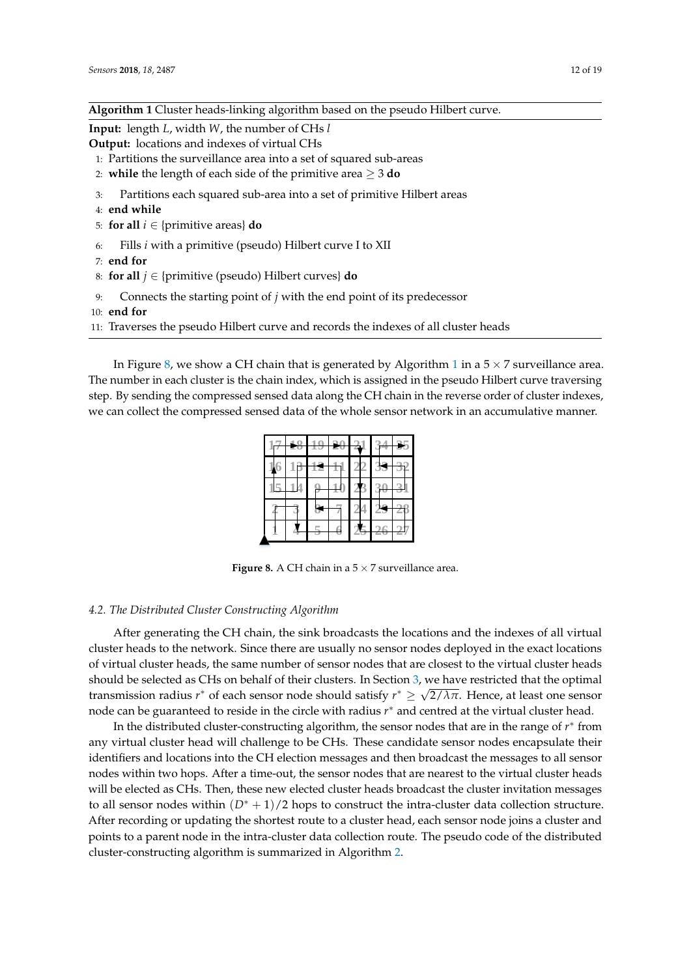<span id="page-11-0"></span>

| <b>Algorithm 1</b> Cluster heads-linking algorithm based on the pseudo Hilbert curve. |  |
|---------------------------------------------------------------------------------------|--|
|---------------------------------------------------------------------------------------|--|

**Input:** length *L*, width *W*, the number of CHs *l*

**Output:** locations and indexes of virtual CHs

- 1: Partitions the surveillance area into a set of squared sub-areas
- 2: **while** the length of each side of the primitive area ≥ 3 **do**
- 3: Partitions each squared sub-area into a set of primitive Hilbert areas
- 4: **end while**
- 5: **for all**  $i \in \{ \text{primitive areas} \}$  **do**
- 6: Fills *i* with a primitive (pseudo) Hilbert curve I to XII
- 7: **end for**
- 8: **for all** *j* ∈ {primitive (pseudo) Hilbert curves} **do**
- 9: Connects the starting point of *j* with the end point of its predecessor
- 10: **end for**
- 11: Traverses the pseudo Hilbert curve and records the indexes of all cluster heads

<span id="page-11-1"></span>In Figure [8,](#page-11-1) we show a CH chain that is generated by Algorithm [1](#page-11-0) in a  $5 \times 7$  surveillance area. The number in each cluster is the chain index, which is assigned in the pseudo Hilbert curve traversing step. By sending the compressed sensed data along the CH chain in the reverse order of cluster indexes, we can collect the compressed sensed data of the whole sensor network in an accumulative manner.

**Figure 8.** A CH chain in a  $5 \times 7$  surveillance area.

## *4.2. The Distributed Cluster Constructing Algorithm*

After generating the CH chain, the sink broadcasts the locations and the indexes of all virtual cluster heads to the network. Since there are usually no sensor nodes deployed in the exact locations of virtual cluster heads, the same number of sensor nodes that are closest to the virtual cluster heads should be selected as CHs on behalf of their clusters. In Section [3,](#page-3-0) we have restricted that the optimal transmission radius *r* <sup>∗</sup> of each sensor node should satisfy *r* <sup>∗</sup> ≥ 2/*λπ*. Hence, at least one sensor node can be guaranteed to reside in the circle with radius *r* <sup>∗</sup> and centred at the virtual cluster head.

In the distributed cluster-constructing algorithm, the sensor nodes that are in the range of  $r^*$  from any virtual cluster head will challenge to be CHs. These candidate sensor nodes encapsulate their identifiers and locations into the CH election messages and then broadcast the messages to all sensor nodes within two hops. After a time-out, the sensor nodes that are nearest to the virtual cluster heads will be elected as CHs. Then, these new elected cluster heads broadcast the cluster invitation messages to all sensor nodes within  $(D<sup>*</sup> + 1)/2$  hops to construct the intra-cluster data collection structure. After recording or updating the shortest route to a cluster head, each sensor node joins a cluster and points to a parent node in the intra-cluster data collection route. The pseudo code of the distributed cluster-constructing algorithm is summarized in Algorithm [2.](#page-12-1)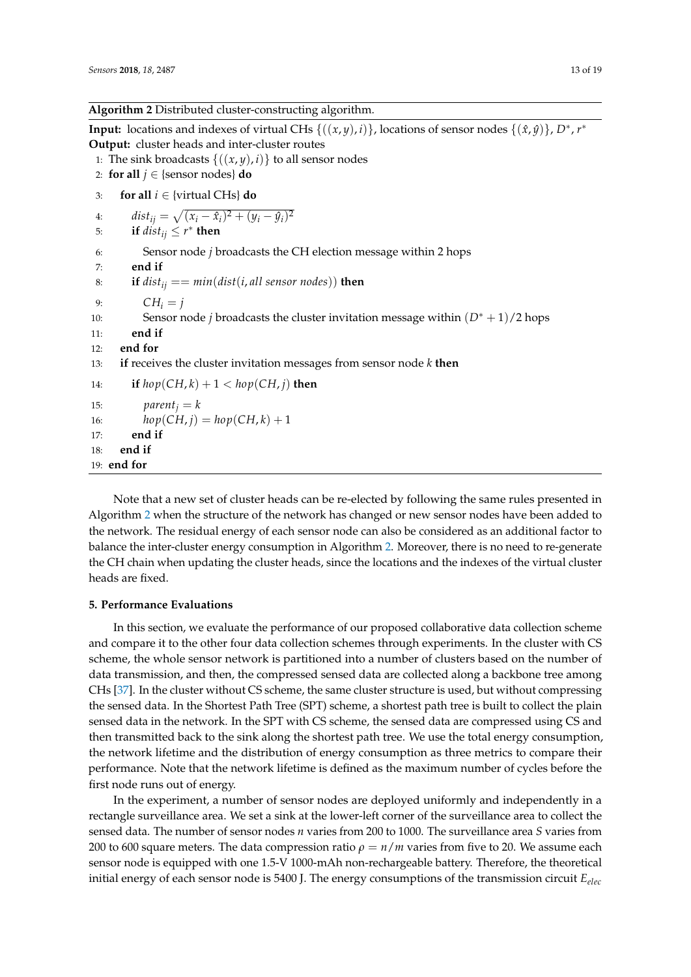## <span id="page-12-1"></span>**Algorithm 2** Distributed cluster-constructing algorithm.

**Input:** locations and indexes of virtual CHs  $\{(x,y), i\}$ , locations of sensor nodes  $\{(x, y)\}$ , *D*<sup>\*</sup>, *r*<sup>\*</sup> **Output:** cluster heads and inter-cluster routes 1: The sink broadcasts  $\{(x, y), i\}$  to all sensor nodes 2: **for all**  $j \in$  {sensor nodes} **do** 3: **for all** *i* ∈ {virtual CHs} **do** 4:  $dist_{ij} = \sqrt{(x_i - \hat{x}_i)^2 + (y_i - \hat{y}_i)^2}$ 5: **if**  $dist_{ij} \leq r^*$  **then** 6: Sensor node *j* broadcasts the CH election message within 2 hops 7: **end if** 8: **if**  $dist_{ij} == min(dist(i, all sensor nodes))$  **then** 9:  $CH_i = j$ 10: Sensor node *j* broadcasts the cluster invitation message within (*D*<sup>∗</sup> + 1)/2 hops 11: **end if** 12: **end for** 13: **if** receives the cluster invitation messages from sensor node *k* **then** 14: **if**  $hop(CH, k) + 1 < hop(CH, j)$  **then** 15:  $parent_i = k$ 16:  $hop(CH, i) = hop(CH, k) + 1$ 17: **end if** 18: **end if** 19: **end for**

Note that a new set of cluster heads can be re-elected by following the same rules presented in Algorithm [2](#page-12-1) when the structure of the network has changed or new sensor nodes have been added to the network. The residual energy of each sensor node can also be considered as an additional factor to balance the inter-cluster energy consumption in Algorithm [2.](#page-12-1) Moreover, there is no need to re-generate the CH chain when updating the cluster heads, since the locations and the indexes of the virtual cluster heads are fixed.

## <span id="page-12-0"></span>**5. Performance Evaluations**

In this section, we evaluate the performance of our proposed collaborative data collection scheme and compare it to the other four data collection schemes through experiments. In the cluster with CS scheme, the whole sensor network is partitioned into a number of clusters based on the number of data transmission, and then, the compressed sensed data are collected along a backbone tree among CHs [\[37\]](#page-18-22). In the cluster without CS scheme, the same cluster structure is used, but without compressing the sensed data. In the Shortest Path Tree (SPT) scheme, a shortest path tree is built to collect the plain sensed data in the network. In the SPT with CS scheme, the sensed data are compressed using CS and then transmitted back to the sink along the shortest path tree. We use the total energy consumption, the network lifetime and the distribution of energy consumption as three metrics to compare their performance. Note that the network lifetime is defined as the maximum number of cycles before the first node runs out of energy.

In the experiment, a number of sensor nodes are deployed uniformly and independently in a rectangle surveillance area. We set a sink at the lower-left corner of the surveillance area to collect the sensed data. The number of sensor nodes *n* varies from 200 to 1000. The surveillance area *S* varies from 200 to 600 square meters. The data compression ratio  $\rho = n/m$  varies from five to 20. We assume each sensor node is equipped with one 1.5-V 1000-mAh non-rechargeable battery. Therefore, the theoretical initial energy of each sensor node is 5400 J. The energy consumptions of the transmission circuit *Eelec*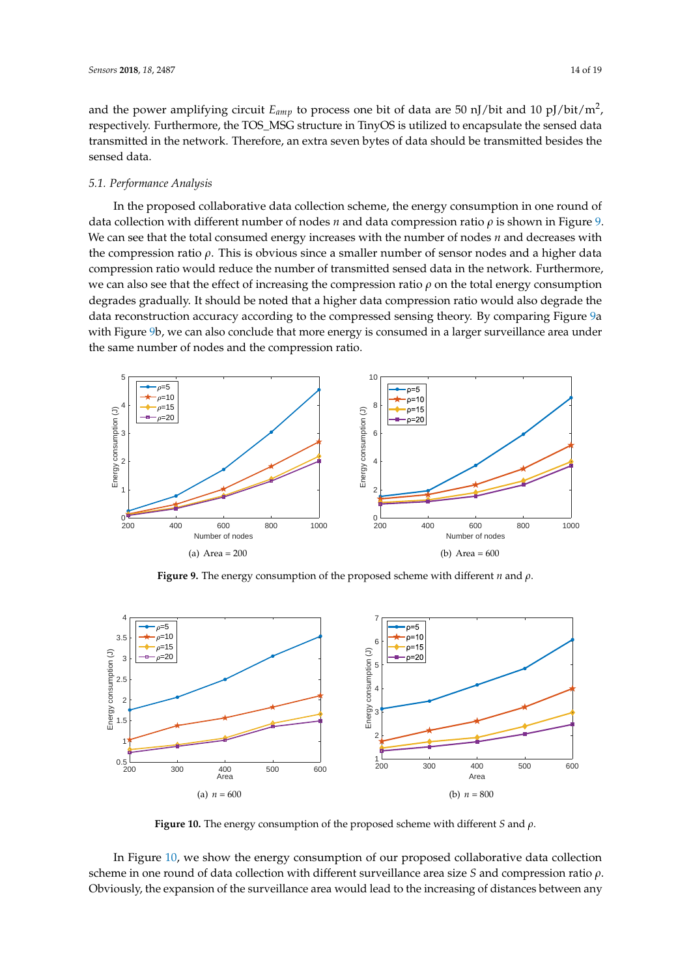and the power amplifying circuit *Eamp* to process one bit of data are 50 nJ/bit and 10 pJ/bit/m<sup>2</sup> , respectively. Furthermore, the TOS\_MSG structure in TinyOS is utilized to encapsulate the sensed data transmitted in the network. Therefore, an extra seven bytes of data should be transmitted besides the sensed data.

## *5.1. Performance Analysis*

In the proposed collaborative data collection scheme, the energy consumption in one round of data collection with different number of nodes *n* and data compression ratio *ρ* is shown in Figure [9.](#page-13-0) We can see that the total consumed energy increases with the number of nodes *n* and decreases with the compression ratio *ρ*. This is obvious since a smaller number of sensor nodes and a higher data compression ratio would reduce the number of transmitted sensed data in the network. Furthermore, we can also see that the effect of increasing the compression ratio *ρ* on the total energy consumption degrades gradually. It should be noted that a higher data compression ratio would also degrade the data reconstruction accuracy according to the compressed sensing theory. By comparing Figure [9a](#page-13-0) with Figure [9b](#page-13-0), we can also conclude that more energy is consumed in a larger surveillance area under the same number of nodes and the compression ratio.

<span id="page-13-0"></span>

**Figure 9.** The energy consumption of the proposed scheme with different *n* and *ρ*.

<span id="page-13-1"></span>

**Figure 10.** The energy consumption of the proposed scheme with different *S* and *ρ*.

In Figure [10,](#page-13-1) we show the energy consumption of our proposed collaborative data collection scheme in one round of data collection with different surveillance area size *S* and compression ratio *ρ*. Obviously, the expansion of the surveillance area would lead to the increasing of distances between any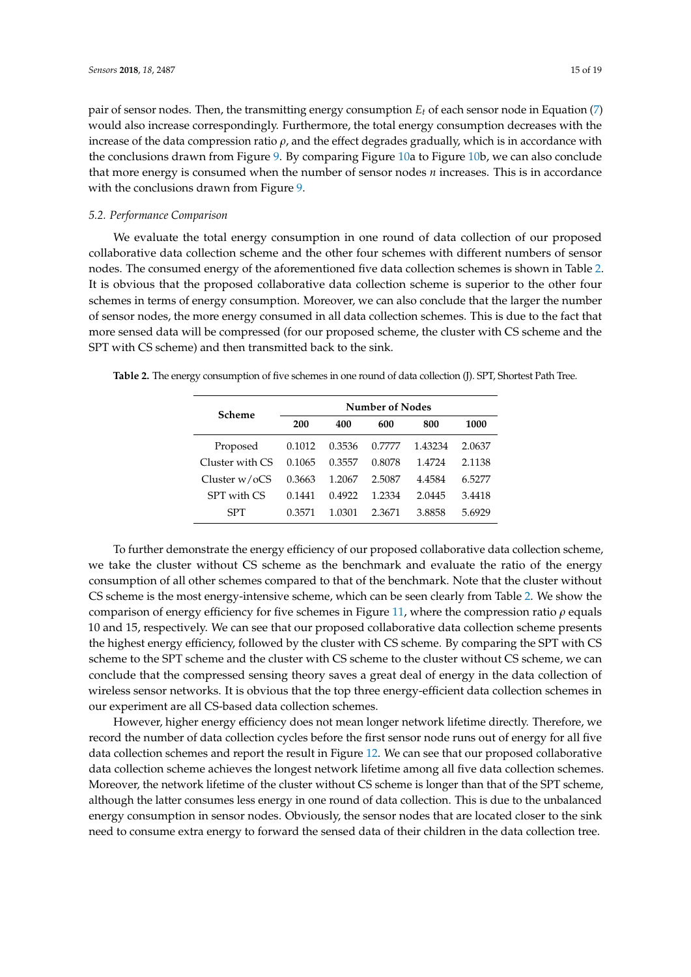increase of the data compression ratio  $\rho$ , and the effect degrades gradually, which is in accordance with the conclusions drawn from Figure [9.](#page-13-0) By comparing Figure [10a](#page-13-1) to Figure [10b](#page-13-1), we can also conclude that more energy is consumed when the number of sensor nodes *n* increases. This is in accordance with the conclusions drawn from Figure [9.](#page-13-0)

## *5.2. Performance Comparison*

We evaluate the total energy consumption in one round of data collection of our proposed collaborative data collection scheme and the other four schemes with different numbers of sensor nodes. The consumed energy of the aforementioned five data collection schemes is shown in Table [2.](#page-14-0) It is obvious that the proposed collaborative data collection scheme is superior to the other four schemes in terms of energy consumption. Moreover, we can also conclude that the larger the number of sensor nodes, the more energy consumed in all data collection schemes. This is due to the fact that more sensed data will be compressed (for our proposed scheme, the cluster with CS scheme and the SPT with CS scheme) and then transmitted back to the sink.

<span id="page-14-0"></span>

|  |  | Table 2. The energy consumption of five schemes in one round of data collection (J). SPT, Shortest Path Tree. |  |  |
|--|--|---------------------------------------------------------------------------------------------------------------|--|--|
|  |  |                                                                                                               |  |  |

| Scheme           | Number of Nodes |        |        |         |        |  |  |
|------------------|-----------------|--------|--------|---------|--------|--|--|
|                  | 200             | 400    | 600    | 800     | 1000   |  |  |
| Proposed         | 0.1012          | 0.3536 | 0.7777 | 1.43234 | 2.0637 |  |  |
| Cluster with CS  | 0.1065          | 0.3557 | 0.8078 | 1.4724  | 2.1138 |  |  |
| Cluster $w$ /oCS | 0.3663          | 1.2067 | 2.5087 | 4.4584  | 6.5277 |  |  |
| SPT with CS      | 0.1441          | 0.4922 | 1.2334 | 2.0445  | 3.4418 |  |  |
| <b>SPT</b>       | 0.3571          | 1.0301 | 2.3671 | 3.8858  | 5.6929 |  |  |

To further demonstrate the energy efficiency of our proposed collaborative data collection scheme, we take the cluster without CS scheme as the benchmark and evaluate the ratio of the energy consumption of all other schemes compared to that of the benchmark. Note that the cluster without CS scheme is the most energy-intensive scheme, which can be seen clearly from Table [2.](#page-14-0) We show the comparison of energy efficiency for five schemes in Figure [11,](#page-15-0) where the compression ratio *ρ* equals 10 and 15, respectively. We can see that our proposed collaborative data collection scheme presents the highest energy efficiency, followed by the cluster with CS scheme. By comparing the SPT with CS scheme to the SPT scheme and the cluster with CS scheme to the cluster without CS scheme, we can conclude that the compressed sensing theory saves a great deal of energy in the data collection of wireless sensor networks. It is obvious that the top three energy-efficient data collection schemes in our experiment are all CS-based data collection schemes.

However, higher energy efficiency does not mean longer network lifetime directly. Therefore, we record the number of data collection cycles before the first sensor node runs out of energy for all five data collection schemes and report the result in Figure [12.](#page-15-1) We can see that our proposed collaborative data collection scheme achieves the longest network lifetime among all five data collection schemes. Moreover, the network lifetime of the cluster without CS scheme is longer than that of the SPT scheme, although the latter consumes less energy in one round of data collection. This is due to the unbalanced energy consumption in sensor nodes. Obviously, the sensor nodes that are located closer to the sink need to consume extra energy to forward the sensed data of their children in the data collection tree.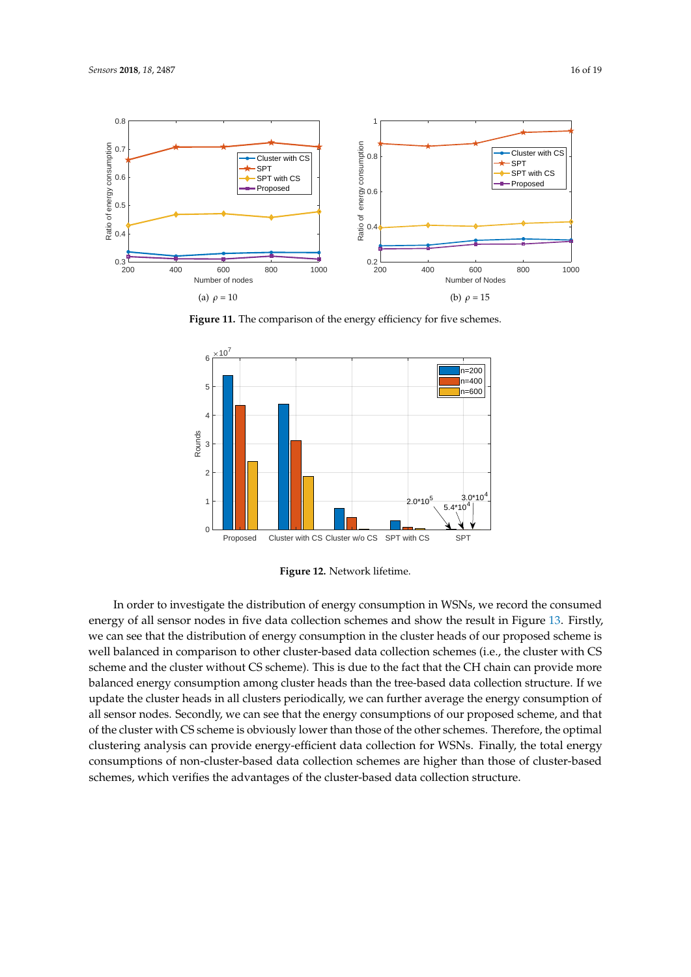<span id="page-15-0"></span>

Figure 11. The comparison of the energy efficiency for five schemes.

<span id="page-15-1"></span>

**Figure 12.** Network lifetime.

In order to investigate the distribution of energy consumption in WSNs, we record the consumed energy of all sensor nodes in five data collection schemes and show the result in Figure [13.](#page-16-1) Firstly, we can see that the distribution of energy consumption in the cluster heads of our proposed scheme is well balanced in comparison to other cluster-based data collection schemes (i.e., the cluster with CS scheme and the cluster without CS scheme). This is due to the fact that the CH chain can provide more balanced energy consumption among cluster heads than the tree-based data collection structure. If we update the cluster heads in all clusters periodically, we can further average the energy consumption of all sensor nodes. Secondly, we can see that the energy consumptions of our proposed scheme, and that of the cluster with CS scheme is obviously lower than those of the other schemes. Therefore, the optimal clustering analysis can provide energy-efficient data collection for WSNs. Finally, the total energy consumptions of non-cluster-based data collection schemes are higher than those of cluster-based schemes, which verifies the advantages of the cluster-based data collection structure.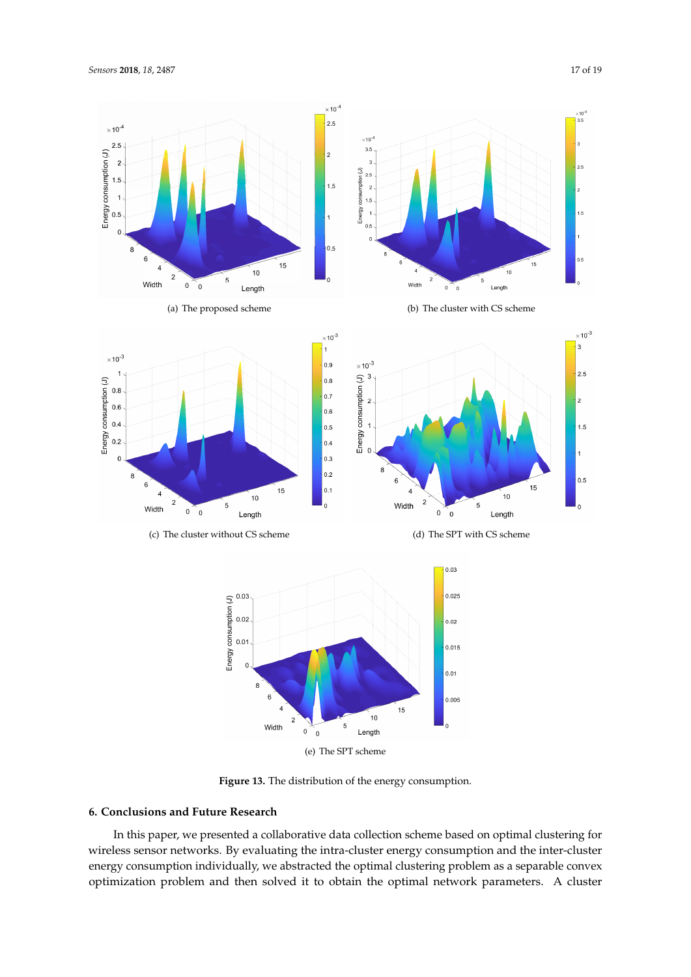<span id="page-16-1"></span>

**Figure 13.** The distribution of the energy consumption.

# <span id="page-16-0"></span>**6. Conclusions and Future Research**

In this paper, we presented a collaborative data collection scheme based on optimal clustering for wireless sensor networks. By evaluating the intra-cluster energy consumption and the inter-cluster energy consumption individually, we abstracted the optimal clustering problem as a separable convex optimization problem and then solved it to obtain the optimal network parameters. A cluster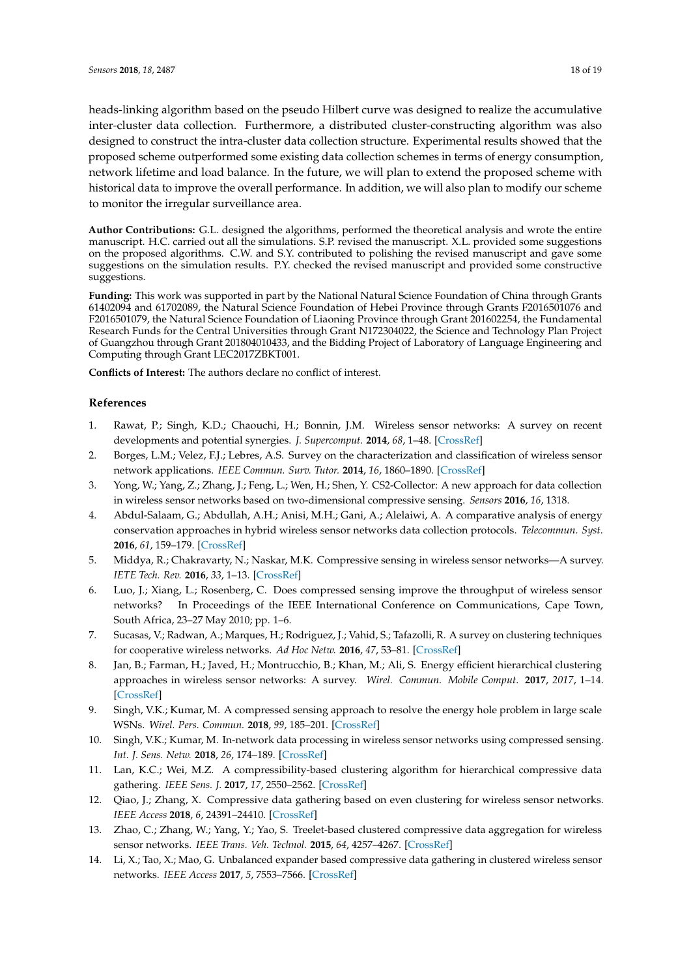heads-linking algorithm based on the pseudo Hilbert curve was designed to realize the accumulative inter-cluster data collection. Furthermore, a distributed cluster-constructing algorithm was also designed to construct the intra-cluster data collection structure. Experimental results showed that the proposed scheme outperformed some existing data collection schemes in terms of energy consumption, network lifetime and load balance. In the future, we will plan to extend the proposed scheme with historical data to improve the overall performance. In addition, we will also plan to modify our scheme to monitor the irregular surveillance area.

**Author Contributions:** G.L. designed the algorithms, performed the theoretical analysis and wrote the entire manuscript. H.C. carried out all the simulations. S.P. revised the manuscript. X.L. provided some suggestions on the proposed algorithms. C.W. and S.Y. contributed to polishing the revised manuscript and gave some suggestions on the simulation results. P.Y. checked the revised manuscript and provided some constructive suggestions.

**Funding:** This work was supported in part by the National Natural Science Foundation of China through Grants 61402094 and 61702089, the Natural Science Foundation of Hebei Province through Grants F2016501076 and F2016501079, the Natural Science Foundation of Liaoning Province through Grant 201602254, the Fundamental Research Funds for the Central Universities through Grant N172304022, the Science and Technology Plan Project of Guangzhou through Grant 201804010433, and the Bidding Project of Laboratory of Language Engineering and Computing through Grant LEC2017ZBKT001.

**Conflicts of Interest:** The authors declare no conflict of interest.

#### **References**

- <span id="page-17-0"></span>1. Rawat, P.; Singh, K.D.; Chaouchi, H.; Bonnin, J.M. Wireless sensor networks: A survey on recent developments and potential synergies. *J. Supercomput.* **2014**, *68*, 1–48. [\[CrossRef\]](http://dx.doi.org/10.1007/s11227-013-1021-9)
- <span id="page-17-1"></span>2. Borges, L.M.; Velez, F.J.; Lebres, A.S. Survey on the characterization and classification of wireless sensor network applications. *IEEE Commun. Surv. Tutor.* **2014**, *16*, 1860–1890. [\[CrossRef\]](http://dx.doi.org/10.1109/COMST.2014.2320073)
- <span id="page-17-2"></span>3. Yong, W.; Yang, Z.; Zhang, J.; Feng, L.; Wen, H.; Shen, Y. CS2-Collector: A new approach for data collection in wireless sensor networks based on two-dimensional compressive sensing. *Sensors* **2016**, *16*, 1318.
- <span id="page-17-3"></span>4. Abdul-Salaam, G.; Abdullah, A.H.; Anisi, M.H.; Gani, A.; Alelaiwi, A. A comparative analysis of energy conservation approaches in hybrid wireless sensor networks data collection protocols. *Telecommun. Syst.* **2016**, *61*, 159–179. [\[CrossRef\]](http://dx.doi.org/10.1007/s11235-015-0092-8)
- <span id="page-17-4"></span>5. Middya, R.; Chakravarty, N.; Naskar, M.K. Compressive sensing in wireless sensor networks—A survey. *IETE Tech. Rev.* **2016**, *33*, 1–13. [\[CrossRef\]](http://dx.doi.org/10.1080/02564602.2016.1233835)
- <span id="page-17-5"></span>6. Luo, J.; Xiang, L.; Rosenberg, C. Does compressed sensing improve the throughput of wireless sensor networks? In Proceedings of the IEEE International Conference on Communications, Cape Town, South Africa, 23–27 May 2010; pp. 1–6.
- <span id="page-17-6"></span>7. Sucasas, V.; Radwan, A.; Marques, H.; Rodriguez, J.; Vahid, S.; Tafazolli, R. A survey on clustering techniques for cooperative wireless networks. *Ad Hoc Netw.* **2016**, *47*, 53–81. [\[CrossRef\]](http://dx.doi.org/10.1016/j.adhoc.2016.04.008)
- <span id="page-17-7"></span>8. Jan, B.; Farman, H.; Javed, H.; Montrucchio, B.; Khan, M.; Ali, S. Energy efficient hierarchical clustering approaches in wireless sensor networks: A survey. *Wirel. Commun. Mobile Comput.* **2017**, *2017*, 1–14. [\[CrossRef\]](http://dx.doi.org/10.1155/2017/6457942)
- <span id="page-17-8"></span>9. Singh, V.K.; Kumar, M. A compressed sensing approach to resolve the energy hole problem in large scale WSNs. *Wirel. Pers. Commun.* **2018**, *99*, 185–201. [\[CrossRef\]](http://dx.doi.org/10.1007/s11277-017-5047-9)
- <span id="page-17-10"></span>10. Singh, V.K.; Kumar, M. In-network data processing in wireless sensor networks using compressed sensing. *Int. J. Sens. Netw.* **2018**, *26*, 174–189. [\[CrossRef\]](http://dx.doi.org/10.1504/IJSNET.2018.090141)
- <span id="page-17-11"></span>11. Lan, K.C.; Wei, M.Z. A compressibility-based clustering algorithm for hierarchical compressive data gathering. *IEEE Sens. J.* **2017**, *17*, 2550–2562. [\[CrossRef\]](http://dx.doi.org/10.1109/JSEN.2017.2669081)
- <span id="page-17-12"></span>12. Qiao, J.; Zhang, X. Compressive data gathering based on even clustering for wireless sensor networks. *IEEE Access* **2018**, *6*, 24391–24410. [\[CrossRef\]](http://dx.doi.org/10.1109/ACCESS.2018.2832626)
- <span id="page-17-13"></span>13. Zhao, C.; Zhang, W.; Yang, Y.; Yao, S. Treelet-based clustered compressive data aggregation for wireless sensor networks. *IEEE Trans. Veh. Technol.* **2015**, *64*, 4257–4267. [\[CrossRef\]](http://dx.doi.org/10.1109/TVT.2014.2361250)
- <span id="page-17-9"></span>14. Li, X.; Tao, X.; Mao, G. Unbalanced expander based compressive data gathering in clustered wireless sensor networks. *IEEE Access* **2017**, *5*, 7553–7566. [\[CrossRef\]](http://dx.doi.org/10.1109/ACCESS.2017.2696745)